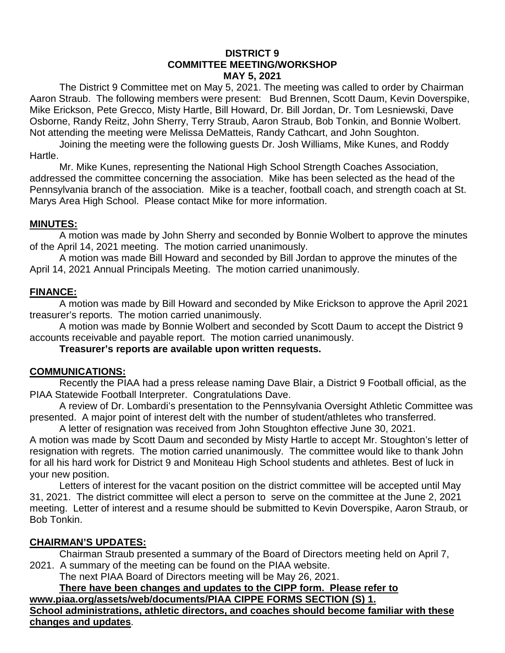#### **DISTRICT 9 COMMITTEE MEETING/WORKSHOP MAY 5, 2021**

The District 9 Committee met on May 5, 2021. The meeting was called to order by Chairman Aaron Straub. The following members were present: Bud Brennen, Scott Daum, Kevin Doverspike, Mike Erickson, Pete Grecco, Misty Hartle, Bill Howard, Dr. Bill Jordan, Dr. Tom Lesniewski, Dave Osborne, Randy Reitz, John Sherry, Terry Straub, Aaron Straub, Bob Tonkin, and Bonnie Wolbert. Not attending the meeting were Melissa DeMatteis, Randy Cathcart, and John Soughton.

Joining the meeting were the following guests Dr. Josh Williams, Mike Kunes, and Roddy Hartle.

Mr. Mike Kunes, representing the National High School Strength Coaches Association, addressed the committee concerning the association. Mike has been selected as the head of the Pennsylvania branch of the association. Mike is a teacher, football coach, and strength coach at St. Marys Area High School. Please contact Mike for more information.

### **MINUTES:**

A motion was made by John Sherry and seconded by Bonnie Wolbert to approve the minutes of the April 14, 2021 meeting. The motion carried unanimously.

A motion was made Bill Howard and seconded by Bill Jordan to approve the minutes of the April 14, 2021 Annual Principals Meeting. The motion carried unanimously.

### **FINANCE:**

A motion was made by Bill Howard and seconded by Mike Erickson to approve the April 2021 treasurer's reports. The motion carried unanimously.

A motion was made by Bonnie Wolbert and seconded by Scott Daum to accept the District 9 accounts receivable and payable report. The motion carried unanimously.

**Treasurer's reports are available upon written requests.**

#### **COMMUNICATIONS:**

Recently the PIAA had a press release naming Dave Blair, a District 9 Football official, as the PIAA Statewide Football Interpreter. Congratulations Dave.

A review of Dr. Lombardi's presentation to the Pennsylvania Oversight Athletic Committee was presented. A major point of interest delt with the number of student/athletes who transferred.

A letter of resignation was received from John Stoughton effective June 30, 2021.

A motion was made by Scott Daum and seconded by Misty Hartle to accept Mr. Stoughton's letter of resignation with regrets. The motion carried unanimously. The committee would like to thank John for all his hard work for District 9 and Moniteau High School students and athletes. Best of luck in your new position.

Letters of interest for the vacant position on the district committee will be accepted until May 31, 2021. The district committee will elect a person to serve on the committee at the June 2, 2021 meeting. Letter of interest and a resume should be submitted to Kevin Doverspike, Aaron Straub, or Bob Tonkin.

#### **CHAIRMAN'S UPDATES:**

Chairman Straub presented a summary of the Board of Directors meeting held on April 7, 2021. A summary of the meeting can be found on the PIAA website.

The next PIAA Board of Directors meeting will be May 26, 2021.

**There have been changes and updates to the CIPP form. Please refer to [www.piaa.org/assets/web/documents/PIAA](http://www.piaa.org/assets/web/documents/PIAA) CIPPE FORMS SECTION (S) 1. School administrations, athletic directors, and coaches should become familiar with these changes and updates**.